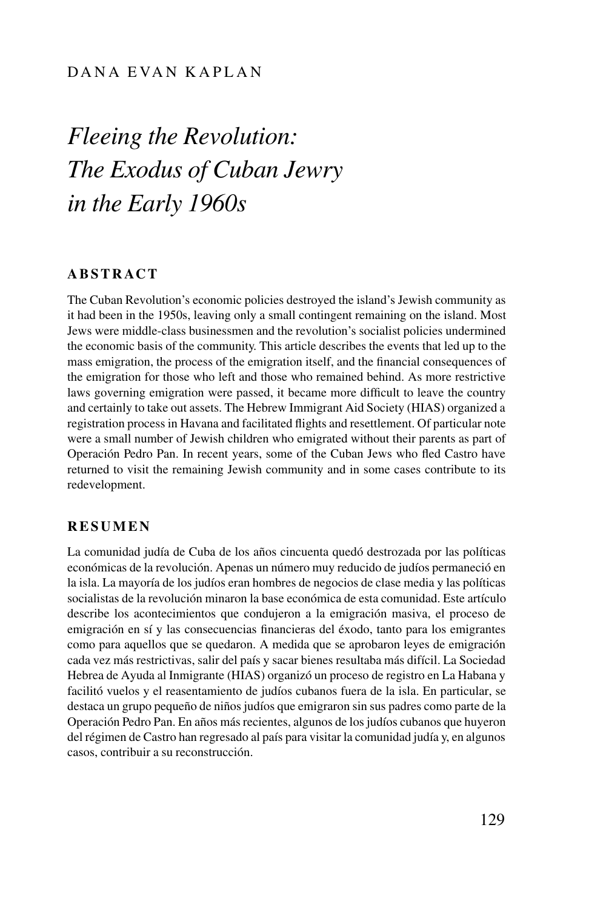# DANA EVAN KAPLAN

# *Fleeing the Revolution: The Exodus of Cuban Jewry in the Early 1960s*

## **ABSTRACT**

The Cuban Revolution's economic policies destroyed the island's Jewish community as it had been in the 1950s, leaving only a small contingent remaining on the island. Most Jews were middle-class businessmen and the revolution's socialist policies undermined the economic basis of the community. This article describes the events that led up to the mass emigration, the process of the emigration itself, and the financial consequences of the emigration for those who left and those who remained behind. As more restrictive laws governing emigration were passed, it became more difficult to leave the country and certainly to take out assets. The Hebrew Immigrant Aid Society (HIAS) organized a registration process in Havana and facilitated flights and resettlement. Of particular note were a small number of Jewish children who emigrated without their parents as part of Operación Pedro Pan. In recent years, some of the Cuban Jews who fled Castro have returned to visit the remaining Jewish community and in some cases contribute to its redevelopment.

#### **RESUMEN**

La comunidad judía de Cuba de los años cincuenta quedó destrozada por las políticas económicas de la revolución. Apenas un número muy reducido de judíos permaneció en la isla. La mayoría de los judíos eran hombres de negocios de clase media y las políticas socialistas de la revolución minaron la base económica de esta comunidad. Este artículo describe los acontecimientos que condujeron a la emigración masiva, el proceso de emigración en sí y las consecuencias financieras del éxodo, tanto para los emigrantes como para aquellos que se quedaron. A medida que se aprobaron leyes de emigración cada vez más restrictivas, salir del país y sacar bienes resultaba más difícil. La Sociedad Hebrea de Ayuda al Inmigrante (HIAS) organizó un proceso de registro en La Habana y facilitó vuelos y el reasentamiento de judíos cubanos fuera de la isla. En particular, se destaca un grupo pequeño de niños judíos que emigraron sin sus padres como parte de la Operación Pedro Pan. En años más recientes, algunos de los judíos cubanos que huyeron del régimen de Castro han regresado al país para visitar la comunidad judía y, en algunos casos, contribuir a su reconstrucción.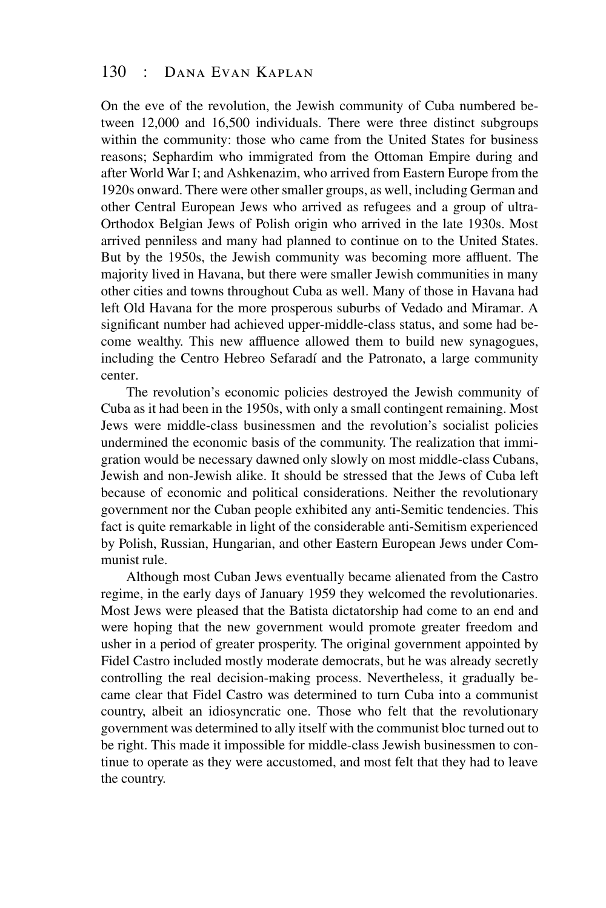On the eve of the revolution, the Jewish community of Cuba numbered between 12,000 and 16,500 individuals. There were three distinct subgroups within the community: those who came from the United States for business reasons; Sephardim who immigrated from the Ottoman Empire during and after World War I; and Ashkenazim, who arrived from Eastern Europe from the 1920s onward. There were other smaller groups, as well, including German and other Central European Jews who arrived as refugees and a group of ultra-Orthodox Belgian Jews of Polish origin who arrived in the late 1930s. Most arrived penniless and many had planned to continue on to the United States. But by the 1950s, the Jewish community was becoming more affluent. The majority lived in Havana, but there were smaller Jewish communities in many other cities and towns throughout Cuba as well. Many of those in Havana had left Old Havana for the more prosperous suburbs of Vedado and Miramar. A significant number had achieved upper-middle-class status, and some had become wealthy. This new affluence allowed them to build new synagogues, including the Centro Hebreo Sefaradí and the Patronato, a large community center.

The revolution's economic policies destroyed the Jewish community of Cuba as it had been in the 1950s, with only a small contingent remaining. Most Jews were middle-class businessmen and the revolution's socialist policies undermined the economic basis of the community. The realization that immigration would be necessary dawned only slowly on most middle-class Cubans, Jewish and non-Jewish alike. It should be stressed that the Jews of Cuba left because of economic and political considerations. Neither the revolutionary government nor the Cuban people exhibited any anti-Semitic tendencies. This fact is quite remarkable in light of the considerable anti-Semitism experienced by Polish, Russian, Hungarian, and other Eastern European Jews under Communist rule.

Although most Cuban Jews eventually became alienated from the Castro regime, in the early days of January 1959 they welcomed the revolutionaries. Most Jews were pleased that the Batista dictatorship had come to an end and were hoping that the new government would promote greater freedom and usher in a period of greater prosperity. The original government appointed by Fidel Castro included mostly moderate democrats, but he was already secretly controlling the real decision-making process. Nevertheless, it gradually became clear that Fidel Castro was determined to turn Cuba into a communist country, albeit an idiosyncratic one. Those who felt that the revolutionary government was determined to ally itself with the communist bloc turned out to be right. This made it impossible for middle-class Jewish businessmen to continue to operate as they were accustomed, and most felt that they had to leave the country.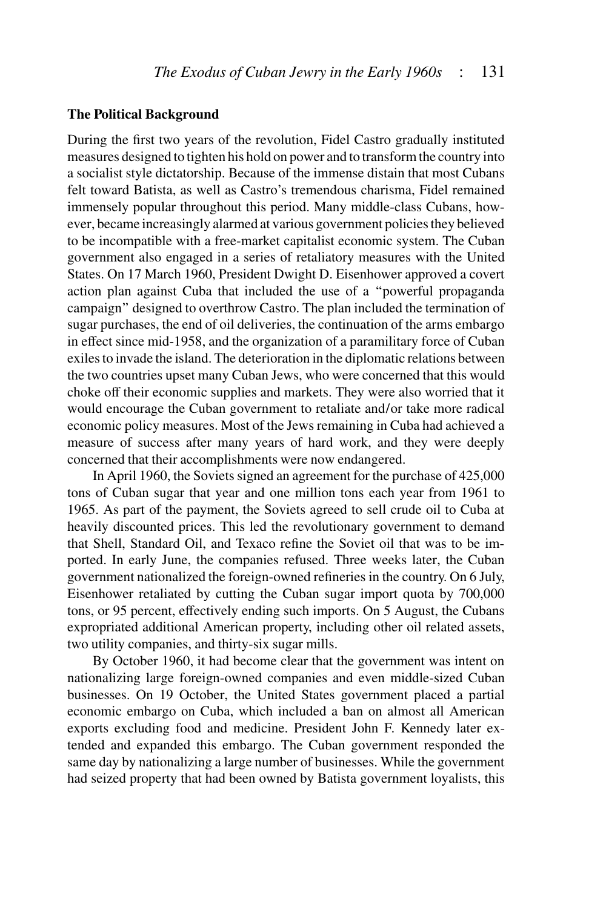#### **The Political Background**

During the first two years of the revolution, Fidel Castro gradually instituted measures designed to tighten his hold on power and to transform the country into a socialist style dictatorship. Because of the immense distain that most Cubans felt toward Batista, as well as Castro's tremendous charisma, Fidel remained immensely popular throughout this period. Many middle-class Cubans, however, became increasingly alarmed at various government policies they believed to be incompatible with a free-market capitalist economic system. The Cuban government also engaged in a series of retaliatory measures with the United States. On 17 March 1960, President Dwight D. Eisenhower approved a covert action plan against Cuba that included the use of a ''powerful propaganda campaign'' designed to overthrow Castro. The plan included the termination of sugar purchases, the end of oil deliveries, the continuation of the arms embargo in effect since mid-1958, and the organization of a paramilitary force of Cuban exiles to invade the island. The deterioration in the diplomatic relations between the two countries upset many Cuban Jews, who were concerned that this would choke off their economic supplies and markets. They were also worried that it would encourage the Cuban government to retaliate and/or take more radical economic policy measures. Most of the Jews remaining in Cuba had achieved a measure of success after many years of hard work, and they were deeply concerned that their accomplishments were now endangered.

In April 1960, the Soviets signed an agreement for the purchase of 425,000 tons of Cuban sugar that year and one million tons each year from 1961 to 1965. As part of the payment, the Soviets agreed to sell crude oil to Cuba at heavily discounted prices. This led the revolutionary government to demand that Shell, Standard Oil, and Texaco refine the Soviet oil that was to be imported. In early June, the companies refused. Three weeks later, the Cuban government nationalized the foreign-owned refineries in the country. On 6 July, Eisenhower retaliated by cutting the Cuban sugar import quota by 700,000 tons, or 95 percent, effectively ending such imports. On 5 August, the Cubans expropriated additional American property, including other oil related assets, two utility companies, and thirty-six sugar mills.

By October 1960, it had become clear that the government was intent on nationalizing large foreign-owned companies and even middle-sized Cuban businesses. On 19 October, the United States government placed a partial economic embargo on Cuba, which included a ban on almost all American exports excluding food and medicine. President John F. Kennedy later extended and expanded this embargo. The Cuban government responded the same day by nationalizing a large number of businesses. While the government had seized property that had been owned by Batista government loyalists, this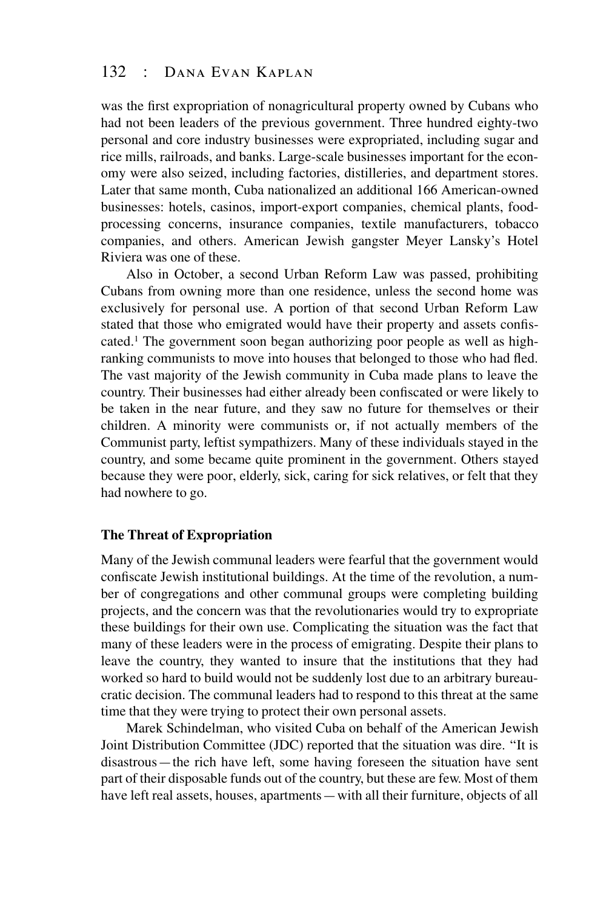was the first expropriation of nonagricultural property owned by Cubans who had not been leaders of the previous government. Three hundred eighty-two personal and core industry businesses were expropriated, including sugar and rice mills, railroads, and banks. Large-scale businesses important for the economy were also seized, including factories, distilleries, and department stores. Later that same month, Cuba nationalized an additional 166 American-owned businesses: hotels, casinos, import-export companies, chemical plants, foodprocessing concerns, insurance companies, textile manufacturers, tobacco companies, and others. American Jewish gangster Meyer Lansky's Hotel Riviera was one of these.

Also in October, a second Urban Reform Law was passed, prohibiting Cubans from owning more than one residence, unless the second home was exclusively for personal use. A portion of that second Urban Reform Law stated that those who emigrated would have their property and assets confiscated.<sup>1</sup> The government soon began authorizing poor people as well as highranking communists to move into houses that belonged to those who had fled. The vast majority of the Jewish community in Cuba made plans to leave the country. Their businesses had either already been confiscated or were likely to be taken in the near future, and they saw no future for themselves or their children. A minority were communists or, if not actually members of the Communist party, leftist sympathizers. Many of these individuals stayed in the country, and some became quite prominent in the government. Others stayed because they were poor, elderly, sick, caring for sick relatives, or felt that they had nowhere to go.

#### **The Threat of Expropriation**

Many of the Jewish communal leaders were fearful that the government would confiscate Jewish institutional buildings. At the time of the revolution, a number of congregations and other communal groups were completing building projects, and the concern was that the revolutionaries would try to expropriate these buildings for their own use. Complicating the situation was the fact that many of these leaders were in the process of emigrating. Despite their plans to leave the country, they wanted to insure that the institutions that they had worked so hard to build would not be suddenly lost due to an arbitrary bureaucratic decision. The communal leaders had to respond to this threat at the same time that they were trying to protect their own personal assets.

Marek Schindelman, who visited Cuba on behalf of the American Jewish Joint Distribution Committee (JDC) reported that the situation was dire. ''It is disastrous—the rich have left, some having foreseen the situation have sent part of their disposable funds out of the country, but these are few. Most of them have left real assets, houses, apartments—with all their furniture, objects of all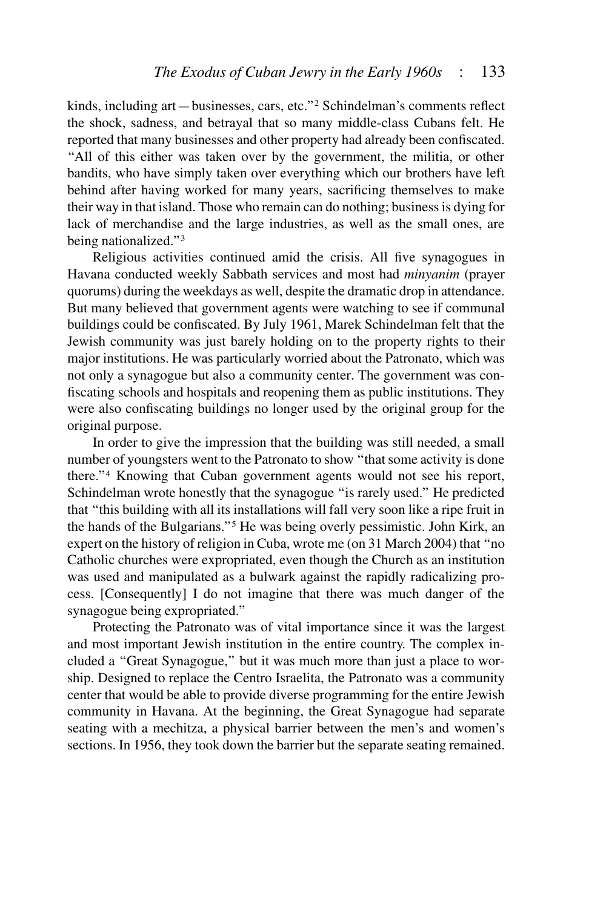kinds, including art—businesses, cars, etc.''2 Schindelman's comments reflect the shock, sadness, and betrayal that so many middle-class Cubans felt. He reported that many businesses and other property had already been confiscated. ''All of this either was taken over by the government, the militia, or other bandits, who have simply taken over everything which our brothers have left behind after having worked for many years, sacrificing themselves to make their way in that island. Those who remain can do nothing; business is dying for lack of merchandise and the large industries, as well as the small ones, are being nationalized.''3

Religious activities continued amid the crisis. All five synagogues in Havana conducted weekly Sabbath services and most had *minyanim* (prayer quorums) during the weekdays as well, despite the dramatic drop in attendance. But many believed that government agents were watching to see if communal buildings could be confiscated. By July 1961, Marek Schindelman felt that the Jewish community was just barely holding on to the property rights to their major institutions. He was particularly worried about the Patronato, which was not only a synagogue but also a community center. The government was confiscating schools and hospitals and reopening them as public institutions. They were also confiscating buildings no longer used by the original group for the original purpose.

In order to give the impression that the building was still needed, a small number of youngsters went to the Patronato to show ''that some activity is done there.''4 Knowing that Cuban government agents would not see his report, Schindelman wrote honestly that the synagogue "is rarely used." He predicted that ''this building with all its installations will fall very soon like a ripe fruit in the hands of the Bulgarians."<sup>5</sup> He was being overly pessimistic. John Kirk, an expert on the history of religion in Cuba, wrote me (on 31 March 2004) that ''no Catholic churches were expropriated, even though the Church as an institution was used and manipulated as a bulwark against the rapidly radicalizing process. [Consequently] I do not imagine that there was much danger of the synagogue being expropriated.''

Protecting the Patronato was of vital importance since it was the largest and most important Jewish institution in the entire country. The complex included a ''Great Synagogue,'' but it was much more than just a place to worship. Designed to replace the Centro Israelita, the Patronato was a community center that would be able to provide diverse programming for the entire Jewish community in Havana. At the beginning, the Great Synagogue had separate seating with a mechitza, a physical barrier between the men's and women's sections. In 1956, they took down the barrier but the separate seating remained.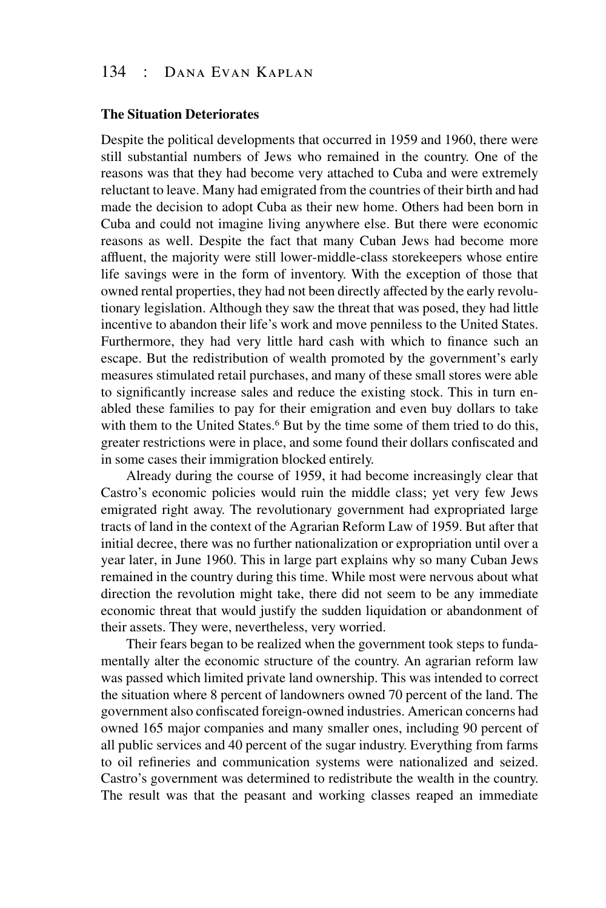#### **The Situation Deteriorates**

Despite the political developments that occurred in 1959 and 1960, there were still substantial numbers of Jews who remained in the country. One of the reasons was that they had become very attached to Cuba and were extremely reluctant to leave. Many had emigrated from the countries of their birth and had made the decision to adopt Cuba as their new home. Others had been born in Cuba and could not imagine living anywhere else. But there were economic reasons as well. Despite the fact that many Cuban Jews had become more affluent, the majority were still lower-middle-class storekeepers whose entire life savings were in the form of inventory. With the exception of those that owned rental properties, they had not been directly affected by the early revolutionary legislation. Although they saw the threat that was posed, they had little incentive to abandon their life's work and move penniless to the United States. Furthermore, they had very little hard cash with which to finance such an escape. But the redistribution of wealth promoted by the government's early measures stimulated retail purchases, and many of these small stores were able to significantly increase sales and reduce the existing stock. This in turn enabled these families to pay for their emigration and even buy dollars to take with them to the United States.<sup>6</sup> But by the time some of them tried to do this, greater restrictions were in place, and some found their dollars confiscated and in some cases their immigration blocked entirely.

Already during the course of 1959, it had become increasingly clear that Castro's economic policies would ruin the middle class; yet very few Jews emigrated right away. The revolutionary government had expropriated large tracts of land in the context of the Agrarian Reform Law of 1959. But after that initial decree, there was no further nationalization or expropriation until over a year later, in June 1960. This in large part explains why so many Cuban Jews remained in the country during this time. While most were nervous about what direction the revolution might take, there did not seem to be any immediate economic threat that would justify the sudden liquidation or abandonment of their assets. They were, nevertheless, very worried.

Their fears began to be realized when the government took steps to fundamentally alter the economic structure of the country. An agrarian reform law was passed which limited private land ownership. This was intended to correct the situation where 8 percent of landowners owned 70 percent of the land. The government also confiscated foreign-owned industries. American concerns had owned 165 major companies and many smaller ones, including 90 percent of all public services and 40 percent of the sugar industry. Everything from farms to oil refineries and communication systems were nationalized and seized. Castro's government was determined to redistribute the wealth in the country. The result was that the peasant and working classes reaped an immediate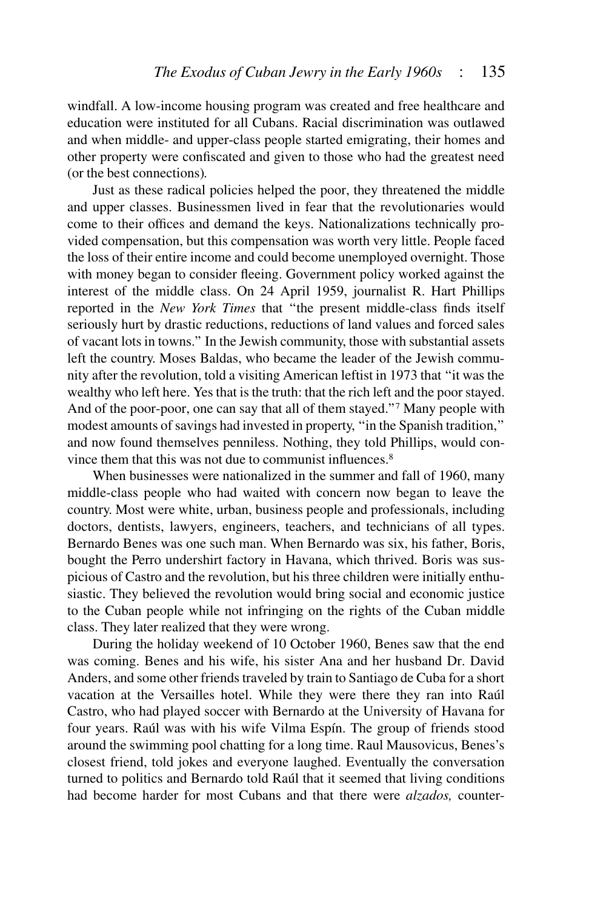windfall. A low-income housing program was created and free healthcare and education were instituted for all Cubans. Racial discrimination was outlawed and when middle- and upper-class people started emigrating, their homes and other property were confiscated and given to those who had the greatest need (or the best connections).

Just as these radical policies helped the poor, they threatened the middle and upper classes. Businessmen lived in fear that the revolutionaries would come to their offices and demand the keys. Nationalizations technically provided compensation, but this compensation was worth very little. People faced the loss of their entire income and could become unemployed overnight. Those with money began to consider fleeing. Government policy worked against the interest of the middle class. On 24 April 1959, journalist R. Hart Phillips reported in the *New York Times* that ''the present middle-class finds itself seriously hurt by drastic reductions, reductions of land values and forced sales of vacant lots in towns.'' In the Jewish community, those with substantial assets left the country. Moses Baldas, who became the leader of the Jewish community after the revolution, told a visiting American leftist in 1973 that ''it was the wealthy who left here. Yes that is the truth: that the rich left and the poor stayed. And of the poor-poor, one can say that all of them stayed."<sup>7</sup> Many people with modest amounts of savings had invested in property, ''in the Spanish tradition,'' and now found themselves penniless. Nothing, they told Phillips, would convince them that this was not due to communist influences.8

When businesses were nationalized in the summer and fall of 1960, many middle-class people who had waited with concern now began to leave the country. Most were white, urban, business people and professionals, including doctors, dentists, lawyers, engineers, teachers, and technicians of all types. Bernardo Benes was one such man. When Bernardo was six, his father, Boris, bought the Perro undershirt factory in Havana, which thrived. Boris was suspicious of Castro and the revolution, but his three children were initially enthusiastic. They believed the revolution would bring social and economic justice to the Cuban people while not infringing on the rights of the Cuban middle class. They later realized that they were wrong.

During the holiday weekend of 10 October 1960, Benes saw that the end was coming. Benes and his wife, his sister Ana and her husband Dr. David Anders, and some other friends traveled by train to Santiago de Cuba for a short vacation at the Versailles hotel. While they were there they ran into Raúl Castro, who had played soccer with Bernardo at the University of Havana for four years. Raúl was with his wife Vilma Espín. The group of friends stood around the swimming pool chatting for a long time. Raul Mausovicus, Benes's closest friend, told jokes and everyone laughed. Eventually the conversation turned to politics and Bernardo told Raúl that it seemed that living conditions had become harder for most Cubans and that there were *alzados,* counter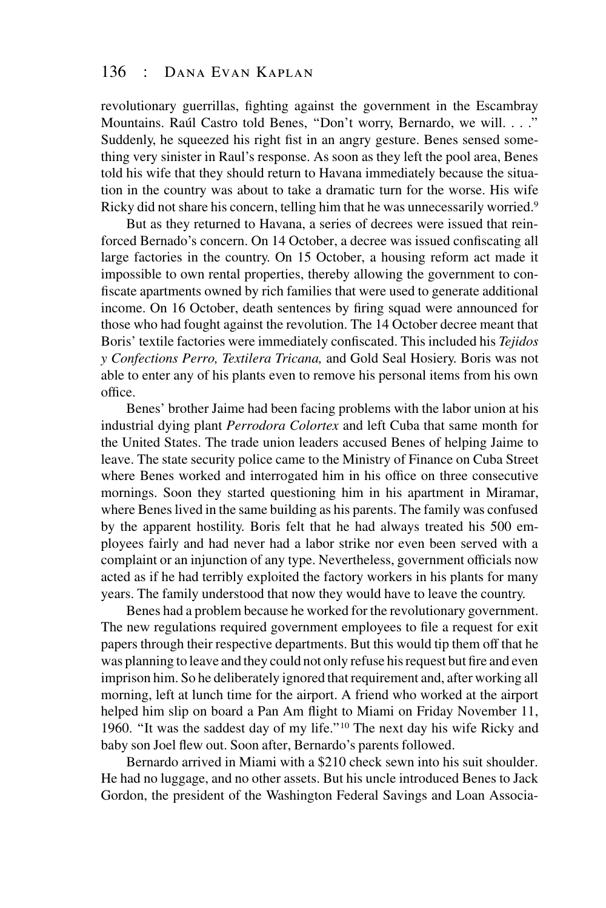revolutionary guerrillas, fighting against the government in the Escambray Mountains. Raúl Castro told Benes, ''Don't worry, Bernardo, we will. . . .'' Suddenly, he squeezed his right fist in an angry gesture. Benes sensed something very sinister in Raul's response. As soon as they left the pool area, Benes told his wife that they should return to Havana immediately because the situation in the country was about to take a dramatic turn for the worse. His wife Ricky did not share his concern, telling him that he was unnecessarily worried.<sup>9</sup>

But as they returned to Havana, a series of decrees were issued that reinforced Bernado's concern. On 14 October, a decree was issued confiscating all large factories in the country. On 15 October, a housing reform act made it impossible to own rental properties, thereby allowing the government to confiscate apartments owned by rich families that were used to generate additional income. On 16 October, death sentences by firing squad were announced for those who had fought against the revolution. The 14 October decree meant that Boris' textile factories were immediately confiscated. This included his *Tejidos y Confections Perro, Textilera Tricana,* and Gold Seal Hosiery. Boris was not able to enter any of his plants even to remove his personal items from his own office.

Benes' brother Jaime had been facing problems with the labor union at his industrial dying plant *Perrodora Colortex* and left Cuba that same month for the United States. The trade union leaders accused Benes of helping Jaime to leave. The state security police came to the Ministry of Finance on Cuba Street where Benes worked and interrogated him in his office on three consecutive mornings. Soon they started questioning him in his apartment in Miramar, where Benes lived in the same building as his parents. The family was confused by the apparent hostility. Boris felt that he had always treated his 500 employees fairly and had never had a labor strike nor even been served with a complaint or an injunction of any type. Nevertheless, government officials now acted as if he had terribly exploited the factory workers in his plants for many years. The family understood that now they would have to leave the country.

Benes had a problem because he worked for the revolutionary government. The new regulations required government employees to file a request for exit papers through their respective departments. But this would tip them off that he was planning to leave and they could not only refuse his request but fire and even imprison him. So he deliberately ignored that requirement and, after working all morning, left at lunch time for the airport. A friend who worked at the airport helped him slip on board a Pan Am flight to Miami on Friday November 11, 1960. ''It was the saddest day of my life.''10 The next day his wife Ricky and baby son Joel flew out. Soon after, Bernardo's parents followed.

Bernardo arrived in Miami with a \$210 check sewn into his suit shoulder. He had no luggage, and no other assets. But his uncle introduced Benes to Jack Gordon, the president of the Washington Federal Savings and Loan Associa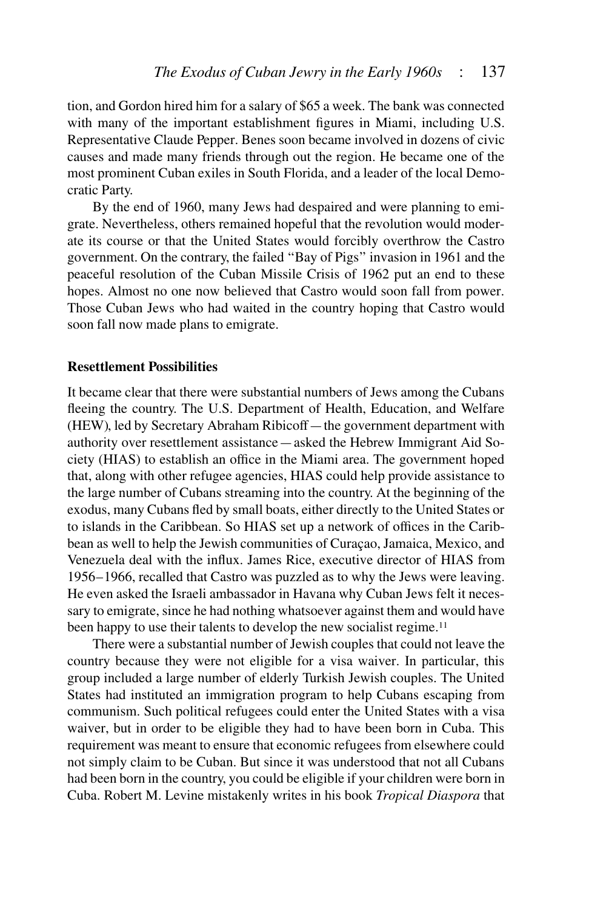tion, and Gordon hired him for a salary of \$65 a week. The bank was connected with many of the important establishment figures in Miami, including U.S. Representative Claude Pepper. Benes soon became involved in dozens of civic causes and made many friends through out the region. He became one of the most prominent Cuban exiles in South Florida, and a leader of the local Democratic Party.

By the end of 1960, many Jews had despaired and were planning to emigrate. Nevertheless, others remained hopeful that the revolution would moderate its course or that the United States would forcibly overthrow the Castro government. On the contrary, the failed ''Bay of Pigs'' invasion in 1961 and the peaceful resolution of the Cuban Missile Crisis of 1962 put an end to these hopes. Almost no one now believed that Castro would soon fall from power. Those Cuban Jews who had waited in the country hoping that Castro would soon fall now made plans to emigrate.

#### **Resettlement Possibilities**

It became clear that there were substantial numbers of Jews among the Cubans fleeing the country. The U.S. Department of Health, Education, and Welfare (HEW), led by Secretary Abraham Ribicoff—the government department with authority over resettlement assistance—asked the Hebrew Immigrant Aid Society (HIAS) to establish an office in the Miami area. The government hoped that, along with other refugee agencies, HIAS could help provide assistance to the large number of Cubans streaming into the country. At the beginning of the exodus, many Cubans fled by small boats, either directly to the United States or to islands in the Caribbean. So HIAS set up a network of offices in the Caribbean as well to help the Jewish communities of Curaçao, Jamaica, Mexico, and Venezuela deal with the influx. James Rice, executive director of HIAS from 1956–1966, recalled that Castro was puzzled as to why the Jews were leaving. He even asked the Israeli ambassador in Havana why Cuban Jews felt it necessary to emigrate, since he had nothing whatsoever against them and would have been happy to use their talents to develop the new socialist regime.<sup>11</sup>

There were a substantial number of Jewish couples that could not leave the country because they were not eligible for a visa waiver. In particular, this group included a large number of elderly Turkish Jewish couples. The United States had instituted an immigration program to help Cubans escaping from communism. Such political refugees could enter the United States with a visa waiver, but in order to be eligible they had to have been born in Cuba. This requirement was meant to ensure that economic refugees from elsewhere could not simply claim to be Cuban. But since it was understood that not all Cubans had been born in the country, you could be eligible if your children were born in Cuba. Robert M. Levine mistakenly writes in his book *Tropical Diaspora* that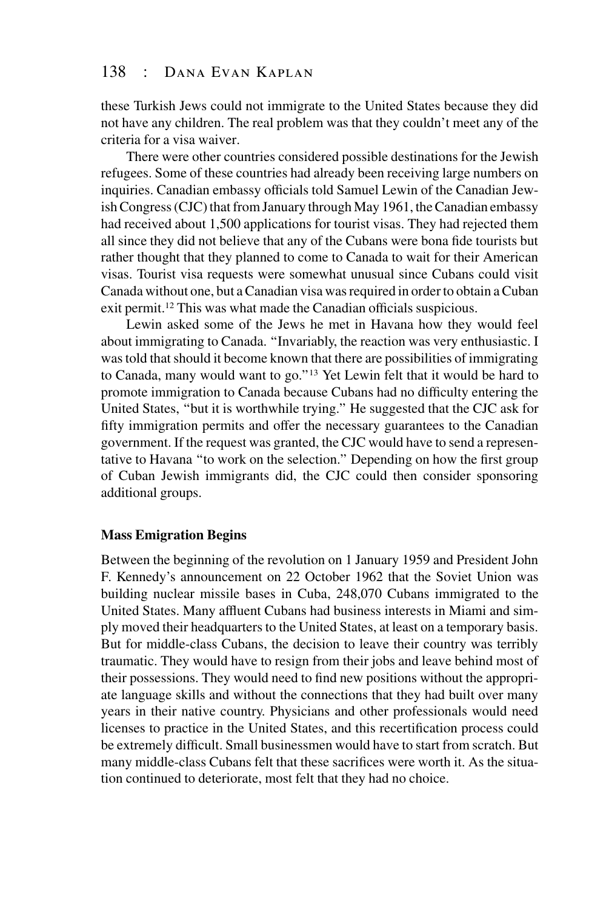these Turkish Jews could not immigrate to the United States because they did not have any children. The real problem was that they couldn't meet any of the criteria for a visa waiver.

There were other countries considered possible destinations for the Jewish refugees. Some of these countries had already been receiving large numbers on inquiries. Canadian embassy officials told Samuel Lewin of the Canadian Jewish Congress (CJC) that from January through May 1961, the Canadian embassy had received about 1,500 applications for tourist visas. They had rejected them all since they did not believe that any of the Cubans were bona fide tourists but rather thought that they planned to come to Canada to wait for their American visas. Tourist visa requests were somewhat unusual since Cubans could visit Canada without one, but a Canadian visa was required in order to obtain a Cuban exit permit.<sup>12</sup> This was what made the Canadian officials suspicious.

Lewin asked some of the Jews he met in Havana how they would feel about immigrating to Canada. ''Invariably, the reaction was very enthusiastic. I was told that should it become known that there are possibilities of immigrating to Canada, many would want to go.''13 Yet Lewin felt that it would be hard to promote immigration to Canada because Cubans had no difficulty entering the United States, ''but it is worthwhile trying.'' He suggested that the CJC ask for fifty immigration permits and offer the necessary guarantees to the Canadian government. If the request was granted, the CJC would have to send a representative to Havana ''to work on the selection.'' Depending on how the first group of Cuban Jewish immigrants did, the CJC could then consider sponsoring additional groups.

#### **Mass Emigration Begins**

Between the beginning of the revolution on 1 January 1959 and President John F. Kennedy's announcement on 22 October 1962 that the Soviet Union was building nuclear missile bases in Cuba, 248,070 Cubans immigrated to the United States. Many affluent Cubans had business interests in Miami and simply moved their headquarters to the United States, at least on a temporary basis. But for middle-class Cubans, the decision to leave their country was terribly traumatic. They would have to resign from their jobs and leave behind most of their possessions. They would need to find new positions without the appropriate language skills and without the connections that they had built over many years in their native country. Physicians and other professionals would need licenses to practice in the United States, and this recertification process could be extremely difficult. Small businessmen would have to start from scratch. But many middle-class Cubans felt that these sacrifices were worth it. As the situation continued to deteriorate, most felt that they had no choice.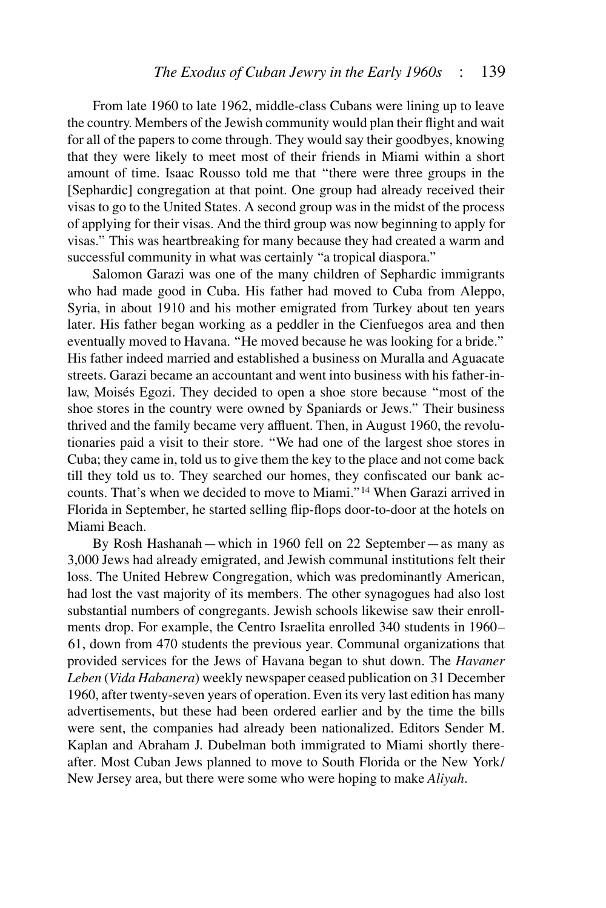From late 1960 to late 1962, middle-class Cubans were lining up to leave the country. Members of the Jewish community would plan their flight and wait for all of the papers to come through. They would say their goodbyes, knowing that they were likely to meet most of their friends in Miami within a short amount of time. Isaac Rousso told me that ''there were three groups in the [Sephardic] congregation at that point. One group had already received their visas to go to the United States. A second group was in the midst of the process of applying for their visas. And the third group was now beginning to apply for visas.'' This was heartbreaking for many because they had created a warm and successful community in what was certainly ''a tropical diaspora.''

Salomon Garazi was one of the many children of Sephardic immigrants who had made good in Cuba. His father had moved to Cuba from Aleppo, Syria, in about 1910 and his mother emigrated from Turkey about ten years later. His father began working as a peddler in the Cienfuegos area and then eventually moved to Havana. ''He moved because he was looking for a bride.'' His father indeed married and established a business on Muralla and Aguacate streets. Garazi became an accountant and went into business with his father-inlaw, Moisés Egozi. They decided to open a shoe store because ''most of the shoe stores in the country were owned by Spaniards or Jews.'' Their business thrived and the family became very affluent. Then, in August 1960, the revolutionaries paid a visit to their store. ''We had one of the largest shoe stores in Cuba; they came in, told us to give them the key to the place and not come back till they told us to. They searched our homes, they confiscated our bank accounts. That's when we decided to move to Miami.''14 When Garazi arrived in Florida in September, he started selling flip-flops door-to-door at the hotels on Miami Beach.

By Rosh Hashanah—which in 1960 fell on 22 September—as many as 3,000 Jews had already emigrated, and Jewish communal institutions felt their loss. The United Hebrew Congregation, which was predominantly American, had lost the vast majority of its members. The other synagogues had also lost substantial numbers of congregants. Jewish schools likewise saw their enrollments drop. For example, the Centro Israelita enrolled 340 students in 1960– 61, down from 470 students the previous year. Communal organizations that provided services for the Jews of Havana began to shut down. The *Havaner Leben* (*Vida Habanera*) weekly newspaper ceased publication on 31 December 1960, after twenty-seven years of operation. Even its very last edition has many advertisements, but these had been ordered earlier and by the time the bills were sent, the companies had already been nationalized. Editors Sender M. Kaplan and Abraham J. Dubelman both immigrated to Miami shortly thereafter. Most Cuban Jews planned to move to South Florida or the New York/ New Jersey area, but there were some who were hoping to make *Aliyah*.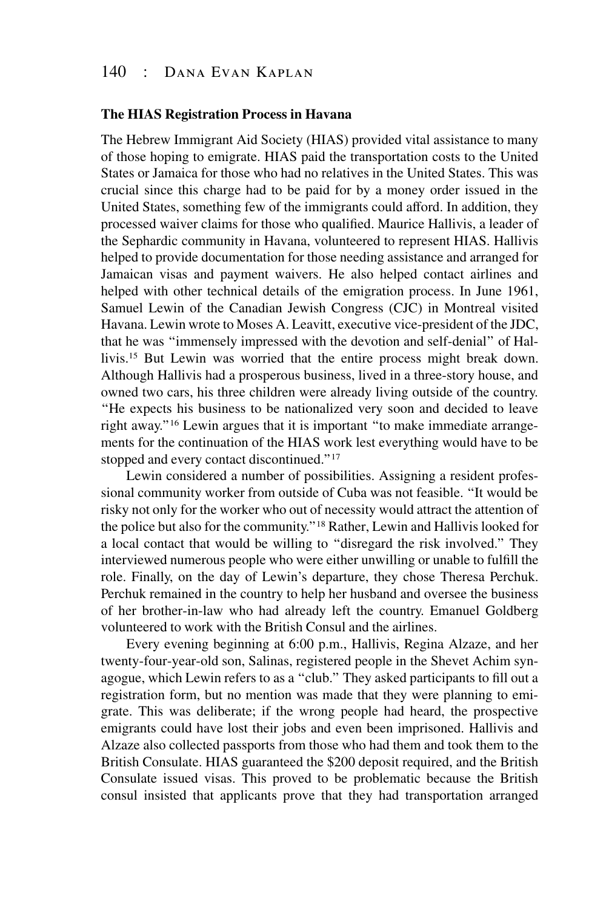#### **The HIAS Registration Process in Havana**

The Hebrew Immigrant Aid Society (HIAS) provided vital assistance to many of those hoping to emigrate. HIAS paid the transportation costs to the United States or Jamaica for those who had no relatives in the United States. This was crucial since this charge had to be paid for by a money order issued in the United States, something few of the immigrants could afford. In addition, they processed waiver claims for those who qualified. Maurice Hallivis, a leader of the Sephardic community in Havana, volunteered to represent HIAS. Hallivis helped to provide documentation for those needing assistance and arranged for Jamaican visas and payment waivers. He also helped contact airlines and helped with other technical details of the emigration process. In June 1961, Samuel Lewin of the Canadian Jewish Congress (CJC) in Montreal visited Havana. Lewin wrote to Moses A. Leavitt, executive vice-president of the JDC, that he was ''immensely impressed with the devotion and self-denial'' of Hallivis.15 But Lewin was worried that the entire process might break down. Although Hallivis had a prosperous business, lived in a three-story house, and owned two cars, his three children were already living outside of the country. ''He expects his business to be nationalized very soon and decided to leave right away.''16 Lewin argues that it is important ''to make immediate arrangements for the continuation of the HIAS work lest everything would have to be stopped and every contact discontinued."<sup>17</sup>

Lewin considered a number of possibilities. Assigning a resident professional community worker from outside of Cuba was not feasible. ''It would be risky not only for the worker who out of necessity would attract the attention of the police but also for the community.''18 Rather, Lewin and Hallivis looked for a local contact that would be willing to ''disregard the risk involved.'' They interviewed numerous people who were either unwilling or unable to fulfill the role. Finally, on the day of Lewin's departure, they chose Theresa Perchuk. Perchuk remained in the country to help her husband and oversee the business of her brother-in-law who had already left the country. Emanuel Goldberg volunteered to work with the British Consul and the airlines.

Every evening beginning at 6:00 p.m., Hallivis, Regina Alzaze, and her twenty-four-year-old son, Salinas, registered people in the Shevet Achim synagogue, which Lewin refers to as a ''club.'' They asked participants to fill out a registration form, but no mention was made that they were planning to emigrate. This was deliberate; if the wrong people had heard, the prospective emigrants could have lost their jobs and even been imprisoned. Hallivis and Alzaze also collected passports from those who had them and took them to the British Consulate. HIAS guaranteed the \$200 deposit required, and the British Consulate issued visas. This proved to be problematic because the British consul insisted that applicants prove that they had transportation arranged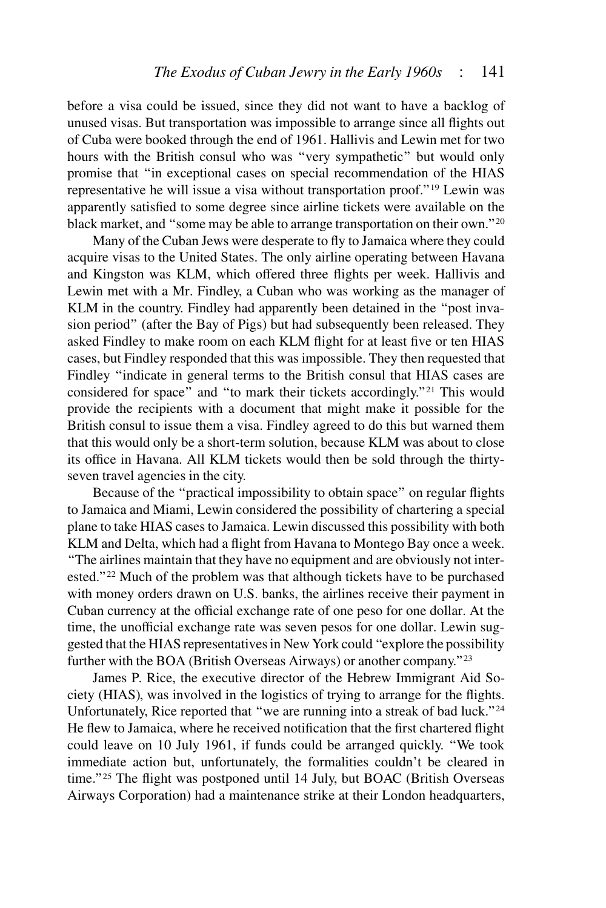before a visa could be issued, since they did not want to have a backlog of unused visas. But transportation was impossible to arrange since all flights out of Cuba were booked through the end of 1961. Hallivis and Lewin met for two hours with the British consul who was ''very sympathetic'' but would only promise that ''in exceptional cases on special recommendation of the HIAS representative he will issue a visa without transportation proof.''19 Lewin was apparently satisfied to some degree since airline tickets were available on the black market, and ''some may be able to arrange transportation on their own.''20

Many of the Cuban Jews were desperate to fly to Jamaica where they could acquire visas to the United States. The only airline operating between Havana and Kingston was KLM, which offered three flights per week. Hallivis and Lewin met with a Mr. Findley, a Cuban who was working as the manager of KLM in the country. Findley had apparently been detained in the ''post invasion period'' (after the Bay of Pigs) but had subsequently been released. They asked Findley to make room on each KLM flight for at least five or ten HIAS cases, but Findley responded that this was impossible. They then requested that Findley ''indicate in general terms to the British consul that HIAS cases are considered for space'' and ''to mark their tickets accordingly.''21 This would provide the recipients with a document that might make it possible for the British consul to issue them a visa. Findley agreed to do this but warned them that this would only be a short-term solution, because KLM was about to close its office in Havana. All KLM tickets would then be sold through the thirtyseven travel agencies in the city.

Because of the ''practical impossibility to obtain space'' on regular flights to Jamaica and Miami, Lewin considered the possibility of chartering a special plane to take HIAS cases to Jamaica. Lewin discussed this possibility with both KLM and Delta, which had a flight from Havana to Montego Bay once a week. ''The airlines maintain that they have no equipment and are obviously not interested.''22 Much of the problem was that although tickets have to be purchased with money orders drawn on U.S. banks, the airlines receive their payment in Cuban currency at the official exchange rate of one peso for one dollar. At the time, the unofficial exchange rate was seven pesos for one dollar. Lewin suggested that the HIAS representatives in New York could ''explore the possibility further with the BOA (British Overseas Airways) or another company.''23

James P. Rice, the executive director of the Hebrew Immigrant Aid Society (HIAS), was involved in the logistics of trying to arrange for the flights. Unfortunately, Rice reported that ''we are running into a streak of bad luck.''24 He flew to Jamaica, where he received notification that the first chartered flight could leave on 10 July 1961, if funds could be arranged quickly. ''We took immediate action but, unfortunately, the formalities couldn't be cleared in time."<sup>25</sup> The flight was postponed until 14 July, but BOAC (British Overseas Airways Corporation) had a maintenance strike at their London headquarters,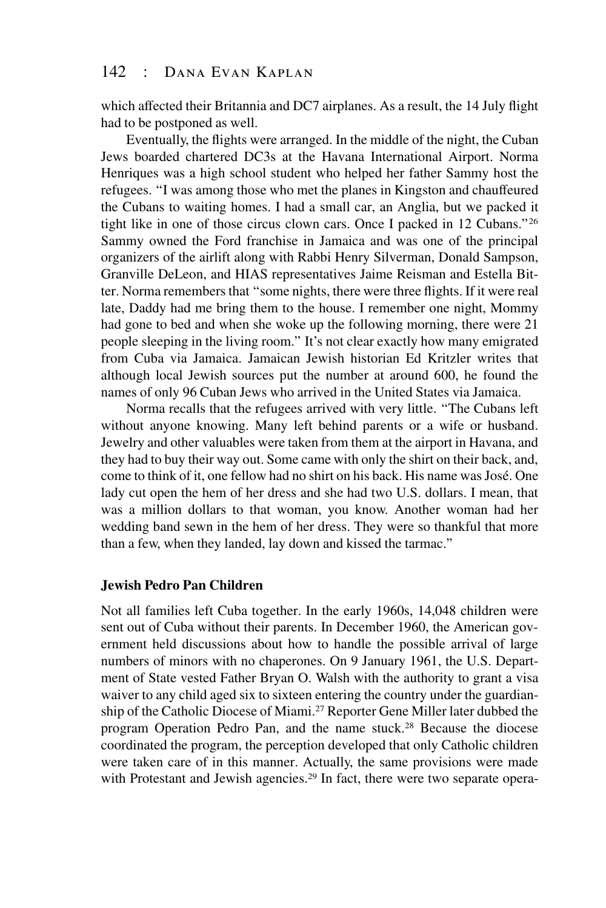which affected their Britannia and DC7 airplanes. As a result, the 14 July flight had to be postponed as well.

Eventually, the flights were arranged. In the middle of the night, the Cuban Jews boarded chartered DC3s at the Havana International Airport. Norma Henriques was a high school student who helped her father Sammy host the refugees. ''I was among those who met the planes in Kingston and chauffeured the Cubans to waiting homes. I had a small car, an Anglia, but we packed it tight like in one of those circus clown cars. Once I packed in 12 Cubans.''26 Sammy owned the Ford franchise in Jamaica and was one of the principal organizers of the airlift along with Rabbi Henry Silverman, Donald Sampson, Granville DeLeon, and HIAS representatives Jaime Reisman and Estella Bitter. Norma remembers that ''some nights, there were three flights. If it were real late, Daddy had me bring them to the house. I remember one night, Mommy had gone to bed and when she woke up the following morning, there were 21 people sleeping in the living room.'' It's not clear exactly how many emigrated from Cuba via Jamaica. Jamaican Jewish historian Ed Kritzler writes that although local Jewish sources put the number at around 600, he found the names of only 96 Cuban Jews who arrived in the United States via Jamaica.

Norma recalls that the refugees arrived with very little. ''The Cubans left without anyone knowing. Many left behind parents or a wife or husband. Jewelry and other valuables were taken from them at the airport in Havana, and they had to buy their way out. Some came with only the shirt on their back, and, come to think of it, one fellow had no shirt on his back. His name was José. One lady cut open the hem of her dress and she had two U.S. dollars. I mean, that was a million dollars to that woman, you know. Another woman had her wedding band sewn in the hem of her dress. They were so thankful that more than a few, when they landed, lay down and kissed the tarmac.''

#### **Jewish Pedro Pan Children**

Not all families left Cuba together. In the early 1960s, 14,048 children were sent out of Cuba without their parents. In December 1960, the American government held discussions about how to handle the possible arrival of large numbers of minors with no chaperones. On 9 January 1961, the U.S. Department of State vested Father Bryan O. Walsh with the authority to grant a visa waiver to any child aged six to sixteen entering the country under the guardianship of the Catholic Diocese of Miami.<sup>27</sup> Reporter Gene Miller later dubbed the program Operation Pedro Pan, and the name stuck.28 Because the diocese coordinated the program, the perception developed that only Catholic children were taken care of in this manner. Actually, the same provisions were made with Protestant and Jewish agencies.<sup>29</sup> In fact, there were two separate opera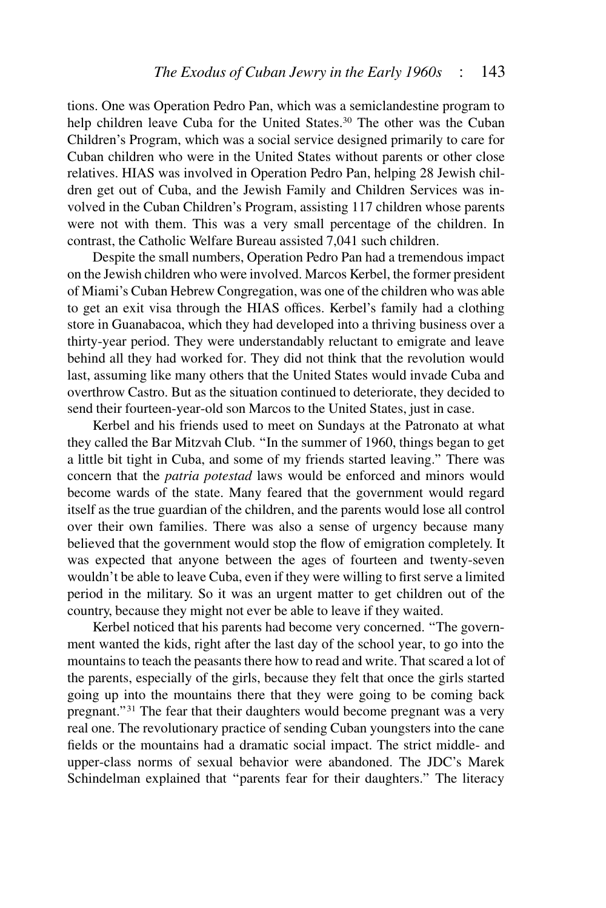tions. One was Operation Pedro Pan, which was a semiclandestine program to help children leave Cuba for the United States.<sup>30</sup> The other was the Cuban Children's Program, which was a social service designed primarily to care for Cuban children who were in the United States without parents or other close relatives. HIAS was involved in Operation Pedro Pan, helping 28 Jewish children get out of Cuba, and the Jewish Family and Children Services was involved in the Cuban Children's Program, assisting 117 children whose parents were not with them. This was a very small percentage of the children. In contrast, the Catholic Welfare Bureau assisted 7,041 such children.

Despite the small numbers, Operation Pedro Pan had a tremendous impact on the Jewish children who were involved. Marcos Kerbel, the former president of Miami's Cuban Hebrew Congregation, was one of the children who was able to get an exit visa through the HIAS offices. Kerbel's family had a clothing store in Guanabacoa, which they had developed into a thriving business over a thirty-year period. They were understandably reluctant to emigrate and leave behind all they had worked for. They did not think that the revolution would last, assuming like many others that the United States would invade Cuba and overthrow Castro. But as the situation continued to deteriorate, they decided to send their fourteen-year-old son Marcos to the United States, just in case.

Kerbel and his friends used to meet on Sundays at the Patronato at what they called the Bar Mitzvah Club. ''In the summer of 1960, things began to get a little bit tight in Cuba, and some of my friends started leaving.'' There was concern that the *patria potestad* laws would be enforced and minors would become wards of the state. Many feared that the government would regard itself as the true guardian of the children, and the parents would lose all control over their own families. There was also a sense of urgency because many believed that the government would stop the flow of emigration completely. It was expected that anyone between the ages of fourteen and twenty-seven wouldn't be able to leave Cuba, even if they were willing to first serve a limited period in the military. So it was an urgent matter to get children out of the country, because they might not ever be able to leave if they waited.

Kerbel noticed that his parents had become very concerned. ''The government wanted the kids, right after the last day of the school year, to go into the mountains to teach the peasants there how to read and write. That scared a lot of the parents, especially of the girls, because they felt that once the girls started going up into the mountains there that they were going to be coming back pregnant.''31 The fear that their daughters would become pregnant was a very real one. The revolutionary practice of sending Cuban youngsters into the cane fields or the mountains had a dramatic social impact. The strict middle- and upper-class norms of sexual behavior were abandoned. The JDC's Marek Schindelman explained that ''parents fear for their daughters.'' The literacy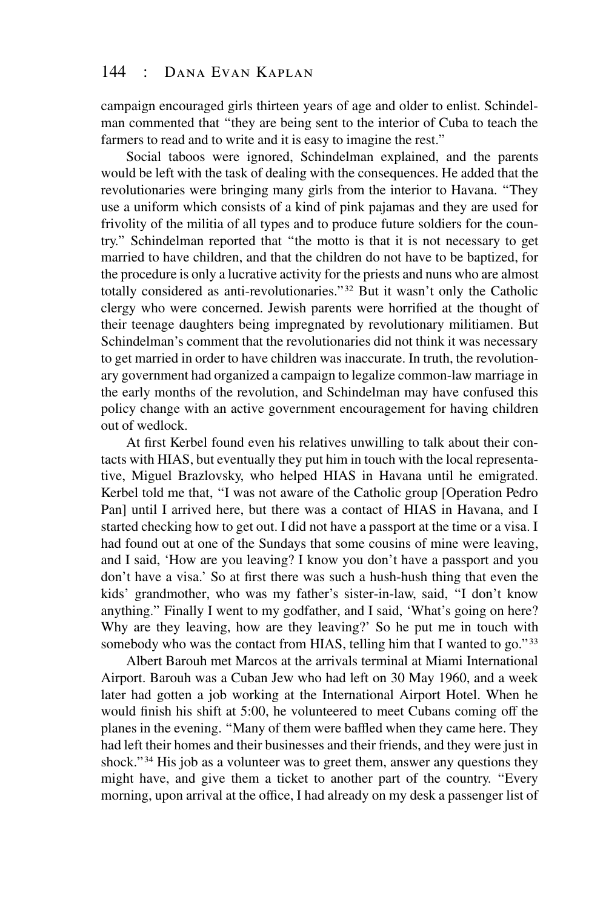campaign encouraged girls thirteen years of age and older to enlist. Schindelman commented that ''they are being sent to the interior of Cuba to teach the farmers to read and to write and it is easy to imagine the rest.''

Social taboos were ignored, Schindelman explained, and the parents would be left with the task of dealing with the consequences. He added that the revolutionaries were bringing many girls from the interior to Havana. ''They use a uniform which consists of a kind of pink pajamas and they are used for frivolity of the militia of all types and to produce future soldiers for the country.'' Schindelman reported that ''the motto is that it is not necessary to get married to have children, and that the children do not have to be baptized, for the procedure is only a lucrative activity for the priests and nuns who are almost totally considered as anti-revolutionaries.''32 But it wasn't only the Catholic clergy who were concerned. Jewish parents were horrified at the thought of their teenage daughters being impregnated by revolutionary militiamen. But Schindelman's comment that the revolutionaries did not think it was necessary to get married in order to have children was inaccurate. In truth, the revolutionary government had organized a campaign to legalize common-law marriage in the early months of the revolution, and Schindelman may have confused this policy change with an active government encouragement for having children out of wedlock.

At first Kerbel found even his relatives unwilling to talk about their contacts with HIAS, but eventually they put him in touch with the local representative, Miguel Brazlovsky, who helped HIAS in Havana until he emigrated. Kerbel told me that, ''I was not aware of the Catholic group [Operation Pedro Pan] until I arrived here, but there was a contact of HIAS in Havana, and I started checking how to get out. I did not have a passport at the time or a visa. I had found out at one of the Sundays that some cousins of mine were leaving, and I said, 'How are you leaving? I know you don't have a passport and you don't have a visa.' So at first there was such a hush-hush thing that even the kids' grandmother, who was my father's sister-in-law, said, ''I don't know anything.'' Finally I went to my godfather, and I said, 'What's going on here? Why are they leaving, how are they leaving?' So he put me in touch with somebody who was the contact from HIAS, telling him that I wanted to go."<sup>33</sup>

Albert Barouh met Marcos at the arrivals terminal at Miami International Airport. Barouh was a Cuban Jew who had left on 30 May 1960, and a week later had gotten a job working at the International Airport Hotel. When he would finish his shift at 5:00, he volunteered to meet Cubans coming off the planes in the evening. ''Many of them were baffled when they came here. They had left their homes and their businesses and their friends, and they were just in shock."<sup>34</sup> His job as a volunteer was to greet them, answer any questions they might have, and give them a ticket to another part of the country. ''Every morning, upon arrival at the office, I had already on my desk a passenger list of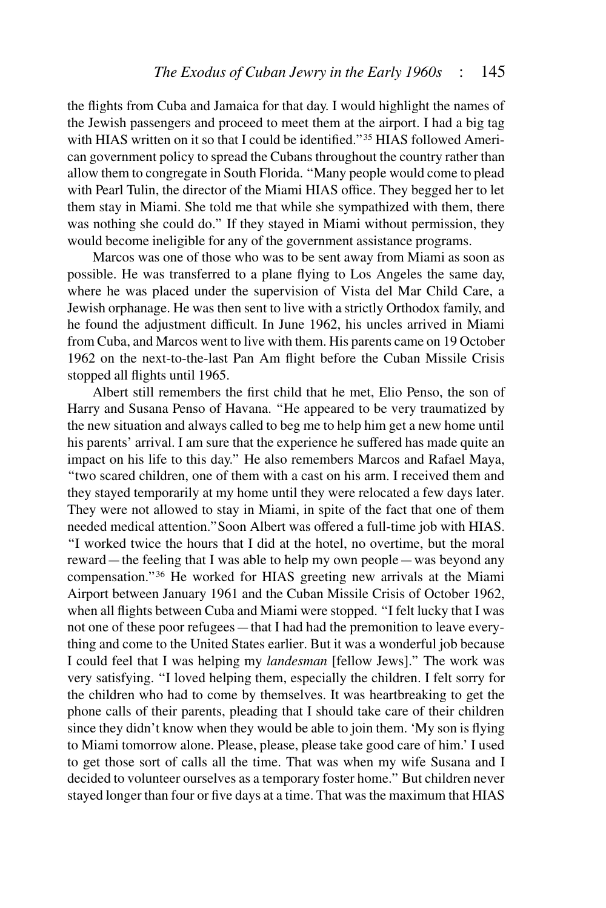the flights from Cuba and Jamaica for that day. I would highlight the names of the Jewish passengers and proceed to meet them at the airport. I had a big tag with HIAS written on it so that I could be identified."<sup>35</sup> HIAS followed American government policy to spread the Cubans throughout the country rather than allow them to congregate in South Florida. ''Many people would come to plead with Pearl Tulin, the director of the Miami HIAS office. They begged her to let them stay in Miami. She told me that while she sympathized with them, there was nothing she could do." If they stayed in Miami without permission, they would become ineligible for any of the government assistance programs.

Marcos was one of those who was to be sent away from Miami as soon as possible. He was transferred to a plane flying to Los Angeles the same day, where he was placed under the supervision of Vista del Mar Child Care, a Jewish orphanage. He was then sent to live with a strictly Orthodox family, and he found the adjustment difficult. In June 1962, his uncles arrived in Miami from Cuba, and Marcos went to live with them. His parents came on 19 October 1962 on the next-to-the-last Pan Am flight before the Cuban Missile Crisis stopped all flights until 1965.

Albert still remembers the first child that he met, Elio Penso, the son of Harry and Susana Penso of Havana. ''He appeared to be very traumatized by the new situation and always called to beg me to help him get a new home until his parents' arrival. I am sure that the experience he suffered has made quite an impact on his life to this day.'' He also remembers Marcos and Rafael Maya, ''two scared children, one of them with a cast on his arm. I received them and they stayed temporarily at my home until they were relocated a few days later. They were not allowed to stay in Miami, in spite of the fact that one of them needed medical attention.''Soon Albert was offered a full-time job with HIAS. ''I worked twice the hours that I did at the hotel, no overtime, but the moral reward—the feeling that I was able to help my own people—was beyond any compensation.''36 He worked for HIAS greeting new arrivals at the Miami Airport between January 1961 and the Cuban Missile Crisis of October 1962, when all flights between Cuba and Miami were stopped. ''I felt lucky that I was not one of these poor refugees—that I had had the premonition to leave everything and come to the United States earlier. But it was a wonderful job because I could feel that I was helping my *landesman* [fellow Jews].'' The work was very satisfying. ''I loved helping them, especially the children. I felt sorry for the children who had to come by themselves. It was heartbreaking to get the phone calls of their parents, pleading that I should take care of their children since they didn't know when they would be able to join them. 'My son is flying to Miami tomorrow alone. Please, please, please take good care of him.' I used to get those sort of calls all the time. That was when my wife Susana and I decided to volunteer ourselves as a temporary foster home.'' But children never stayed longer than four or five days at a time. That was the maximum that HIAS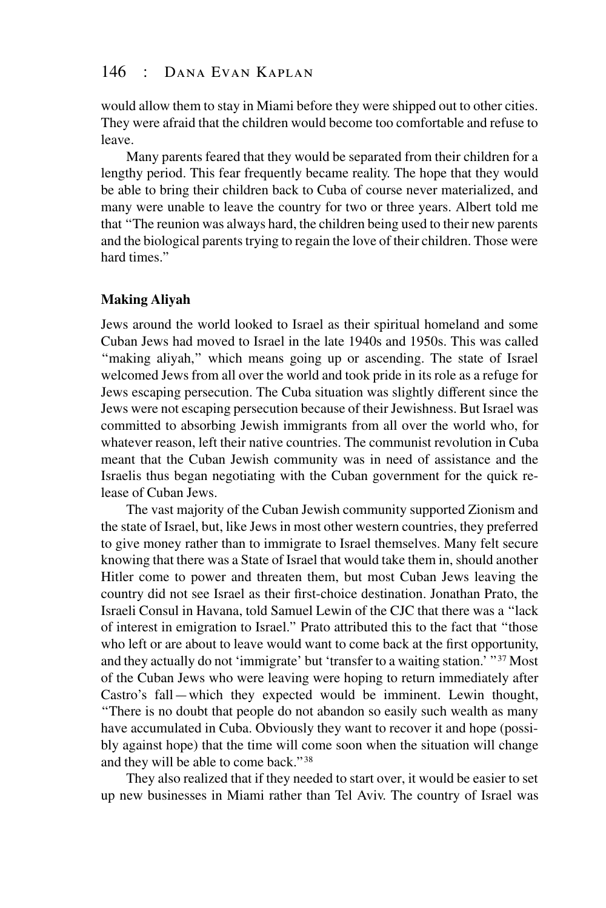would allow them to stay in Miami before they were shipped out to other cities. They were afraid that the children would become too comfortable and refuse to leave.

Many parents feared that they would be separated from their children for a lengthy period. This fear frequently became reality. The hope that they would be able to bring their children back to Cuba of course never materialized, and many were unable to leave the country for two or three years. Albert told me that ''The reunion was always hard, the children being used to their new parents and the biological parents trying to regain the love of their children. Those were hard times."

#### **Making Aliyah**

Jews around the world looked to Israel as their spiritual homeland and some Cuban Jews had moved to Israel in the late 1940s and 1950s. This was called "making aliyah," which means going up or ascending. The state of Israel welcomed Jews from all over the world and took pride in its role as a refuge for Jews escaping persecution. The Cuba situation was slightly different since the Jews were not escaping persecution because of their Jewishness. But Israel was committed to absorbing Jewish immigrants from all over the world who, for whatever reason, left their native countries. The communist revolution in Cuba meant that the Cuban Jewish community was in need of assistance and the Israelis thus began negotiating with the Cuban government for the quick release of Cuban Jews.

The vast majority of the Cuban Jewish community supported Zionism and the state of Israel, but, like Jews in most other western countries, they preferred to give money rather than to immigrate to Israel themselves. Many felt secure knowing that there was a State of Israel that would take them in, should another Hitler come to power and threaten them, but most Cuban Jews leaving the country did not see Israel as their first-choice destination. Jonathan Prato, the Israeli Consul in Havana, told Samuel Lewin of the CJC that there was a ''lack of interest in emigration to Israel.'' Prato attributed this to the fact that ''those who left or are about to leave would want to come back at the first opportunity, and they actually do not 'immigrate' but 'transfer to a waiting station.' ''37 Most of the Cuban Jews who were leaving were hoping to return immediately after Castro's fall—which they expected would be imminent. Lewin thought, ''There is no doubt that people do not abandon so easily such wealth as many have accumulated in Cuba. Obviously they want to recover it and hope (possibly against hope) that the time will come soon when the situation will change and they will be able to come back.''38

They also realized that if they needed to start over, it would be easier to set up new businesses in Miami rather than Tel Aviv. The country of Israel was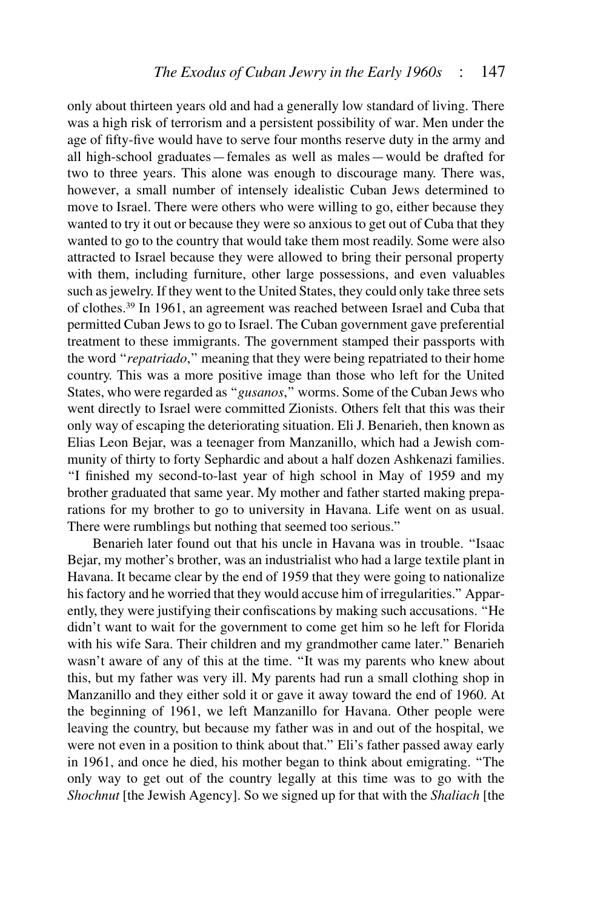only about thirteen years old and had a generally low standard of living. There was a high risk of terrorism and a persistent possibility of war. Men under the age of fifty-five would have to serve four months reserve duty in the army and all high-school graduates—females as well as males—would be drafted for two to three years. This alone was enough to discourage many. There was, however, a small number of intensely idealistic Cuban Jews determined to move to Israel. There were others who were willing to go, either because they wanted to try it out or because they were so anxious to get out of Cuba that they wanted to go to the country that would take them most readily. Some were also attracted to Israel because they were allowed to bring their personal property with them, including furniture, other large possessions, and even valuables such as jewelry. If they went to the United States, they could only take three sets of clothes.39 In 1961, an agreement was reached between Israel and Cuba that permitted Cuban Jews to go to Israel. The Cuban government gave preferential treatment to these immigrants. The government stamped their passports with the word ''*repatriado*,'' meaning that they were being repatriated to their home country. This was a more positive image than those who left for the United States, who were regarded as ''*gusanos*,'' worms. Some of the Cuban Jews who went directly to Israel were committed Zionists. Others felt that this was their only way of escaping the deteriorating situation. Eli J. Benarieh, then known as Elias Leon Bejar, was a teenager from Manzanillo, which had a Jewish community of thirty to forty Sephardic and about a half dozen Ashkenazi families. ''I finished my second-to-last year of high school in May of 1959 and my brother graduated that same year. My mother and father started making preparations for my brother to go to university in Havana. Life went on as usual. There were rumblings but nothing that seemed too serious.''

Benarieh later found out that his uncle in Havana was in trouble. ''Isaac Bejar, my mother's brother, was an industrialist who had a large textile plant in Havana. It became clear by the end of 1959 that they were going to nationalize his factory and he worried that they would accuse him of irregularities.'' Apparently, they were justifying their confiscations by making such accusations. ''He didn't want to wait for the government to come get him so he left for Florida with his wife Sara. Their children and my grandmother came later.'' Benarieh wasn't aware of any of this at the time. ''It was my parents who knew about this, but my father was very ill. My parents had run a small clothing shop in Manzanillo and they either sold it or gave it away toward the end of 1960. At the beginning of 1961, we left Manzanillo for Havana. Other people were leaving the country, but because my father was in and out of the hospital, we were not even in a position to think about that.'' Eli's father passed away early in 1961, and once he died, his mother began to think about emigrating. ''The only way to get out of the country legally at this time was to go with the *Shochnut* [the Jewish Agency]. So we signed up for that with the *Shaliach* [the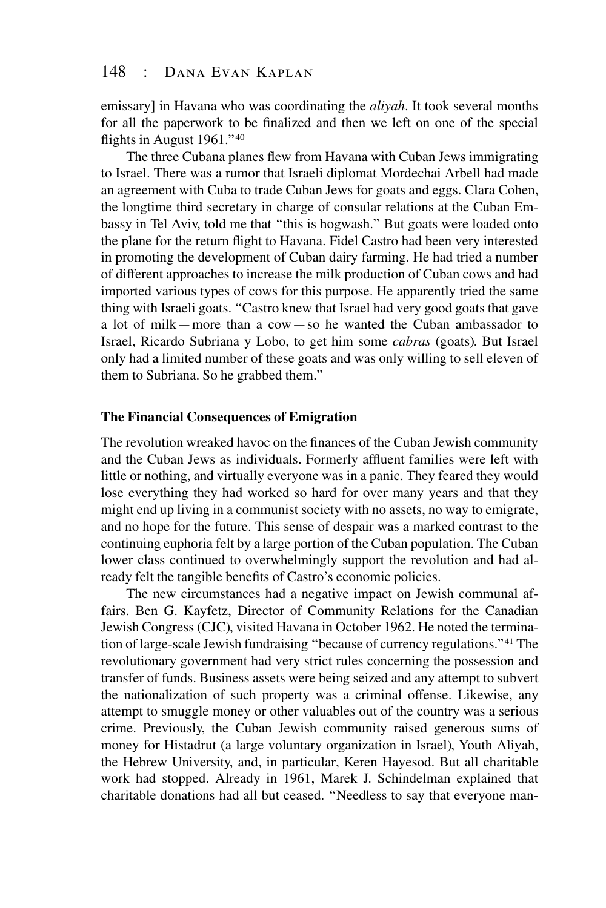emissary] in Havana who was coordinating the *aliyah*. It took several months for all the paperwork to be finalized and then we left on one of the special flights in August 1961."<sup>40</sup>

The three Cubana planes flew from Havana with Cuban Jews immigrating to Israel. There was a rumor that Israeli diplomat Mordechai Arbell had made an agreement with Cuba to trade Cuban Jews for goats and eggs. Clara Cohen, the longtime third secretary in charge of consular relations at the Cuban Embassy in Tel Aviv, told me that ''this is hogwash.'' But goats were loaded onto the plane for the return flight to Havana. Fidel Castro had been very interested in promoting the development of Cuban dairy farming. He had tried a number of different approaches to increase the milk production of Cuban cows and had imported various types of cows for this purpose. He apparently tried the same thing with Israeli goats. ''Castro knew that Israel had very good goats that gave a lot of milk—more than a cow—so he wanted the Cuban ambassador to Israel, Ricardo Subriana y Lobo, to get him some *cabras* (goats). But Israel only had a limited number of these goats and was only willing to sell eleven of them to Subriana. So he grabbed them.''

#### **The Financial Consequences of Emigration**

The revolution wreaked havoc on the finances of the Cuban Jewish community and the Cuban Jews as individuals. Formerly affluent families were left with little or nothing, and virtually everyone was in a panic. They feared they would lose everything they had worked so hard for over many years and that they might end up living in a communist society with no assets, no way to emigrate, and no hope for the future. This sense of despair was a marked contrast to the continuing euphoria felt by a large portion of the Cuban population. The Cuban lower class continued to overwhelmingly support the revolution and had already felt the tangible benefits of Castro's economic policies.

The new circumstances had a negative impact on Jewish communal affairs. Ben G. Kayfetz, Director of Community Relations for the Canadian Jewish Congress (CJC), visited Havana in October 1962. He noted the termination of large-scale Jewish fundraising ''because of currency regulations.''41 The revolutionary government had very strict rules concerning the possession and transfer of funds. Business assets were being seized and any attempt to subvert the nationalization of such property was a criminal offense. Likewise, any attempt to smuggle money or other valuables out of the country was a serious crime. Previously, the Cuban Jewish community raised generous sums of money for Histadrut (a large voluntary organization in Israel), Youth Aliyah, the Hebrew University, and, in particular, Keren Hayesod. But all charitable work had stopped. Already in 1961, Marek J. Schindelman explained that charitable donations had all but ceased. ''Needless to say that everyone man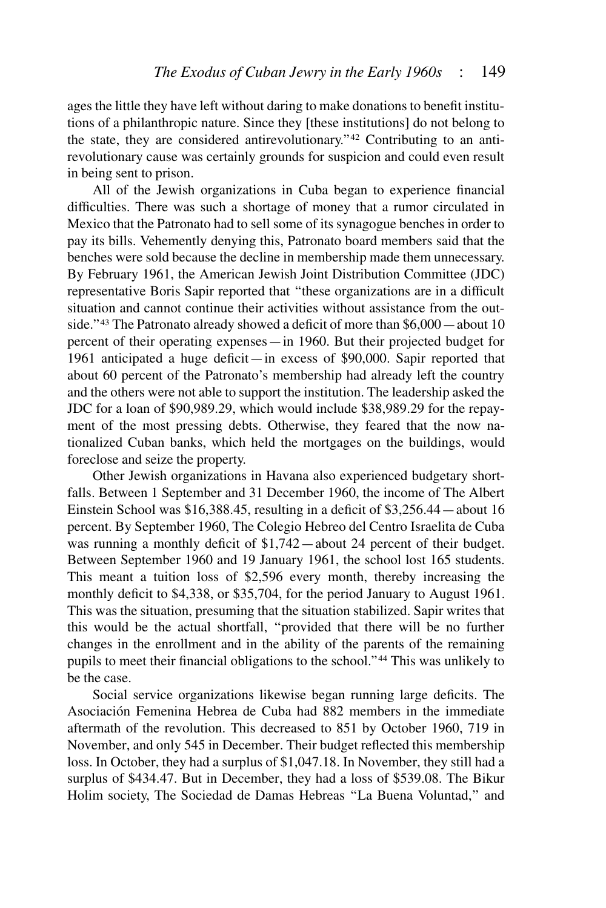ages the little they have left without daring to make donations to benefit institutions of a philanthropic nature. Since they [these institutions] do not belong to the state, they are considered antirevolutionary.''42 Contributing to an antirevolutionary cause was certainly grounds for suspicion and could even result in being sent to prison.

All of the Jewish organizations in Cuba began to experience financial difficulties. There was such a shortage of money that a rumor circulated in Mexico that the Patronato had to sell some of its synagogue benches in order to pay its bills. Vehemently denying this, Patronato board members said that the benches were sold because the decline in membership made them unnecessary. By February 1961, the American Jewish Joint Distribution Committee (JDC) representative Boris Sapir reported that ''these organizations are in a difficult situation and cannot continue their activities without assistance from the outside.''43 The Patronato already showed a deficit of more than \$6,000—about 10 percent of their operating expenses—in 1960. But their projected budget for 1961 anticipated a huge deficit—in excess of \$90,000. Sapir reported that about 60 percent of the Patronato's membership had already left the country and the others were not able to support the institution. The leadership asked the JDC for a loan of \$90,989.29, which would include \$38,989.29 for the repayment of the most pressing debts. Otherwise, they feared that the now nationalized Cuban banks, which held the mortgages on the buildings, would foreclose and seize the property.

Other Jewish organizations in Havana also experienced budgetary shortfalls. Between 1 September and 31 December 1960, the income of The Albert Einstein School was \$16,388.45, resulting in a deficit of \$3,256.44—about 16 percent. By September 1960, The Colegio Hebreo del Centro Israelita de Cuba was running a monthly deficit of \$1,742 — about 24 percent of their budget. Between September 1960 and 19 January 1961, the school lost 165 students. This meant a tuition loss of \$2,596 every month, thereby increasing the monthly deficit to \$4,338, or \$35,704, for the period January to August 1961. This was the situation, presuming that the situation stabilized. Sapir writes that this would be the actual shortfall, ''provided that there will be no further changes in the enrollment and in the ability of the parents of the remaining pupils to meet their financial obligations to the school.''44 This was unlikely to be the case.

Social service organizations likewise began running large deficits. The Asociación Femenina Hebrea de Cuba had 882 members in the immediate aftermath of the revolution. This decreased to 851 by October 1960, 719 in November, and only 545 in December. Their budget reflected this membership loss. In October, they had a surplus of \$1,047.18. In November, they still had a surplus of \$434.47. But in December, they had a loss of \$539.08. The Bikur Holim society, The Sociedad de Damas Hebreas ''La Buena Voluntad,'' and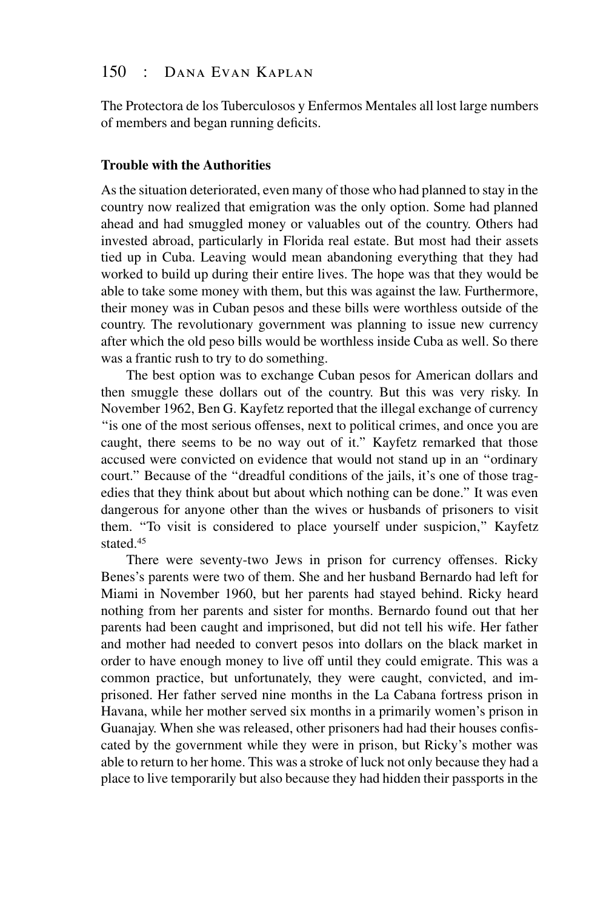The Protectora de los Tuberculosos y Enfermos Mentales all lost large numbers of members and began running deficits.

### **Trouble with the Authorities**

As the situation deteriorated, even many of those who had planned to stay in the country now realized that emigration was the only option. Some had planned ahead and had smuggled money or valuables out of the country. Others had invested abroad, particularly in Florida real estate. But most had their assets tied up in Cuba. Leaving would mean abandoning everything that they had worked to build up during their entire lives. The hope was that they would be able to take some money with them, but this was against the law. Furthermore, their money was in Cuban pesos and these bills were worthless outside of the country. The revolutionary government was planning to issue new currency after which the old peso bills would be worthless inside Cuba as well. So there was a frantic rush to try to do something.

The best option was to exchange Cuban pesos for American dollars and then smuggle these dollars out of the country. But this was very risky. In November 1962, Ben G. Kayfetz reported that the illegal exchange of currency ''is one of the most serious offenses, next to political crimes, and once you are caught, there seems to be no way out of it.'' Kayfetz remarked that those accused were convicted on evidence that would not stand up in an ''ordinary court.'' Because of the ''dreadful conditions of the jails, it's one of those tragedies that they think about but about which nothing can be done.'' It was even dangerous for anyone other than the wives or husbands of prisoners to visit them. ''To visit is considered to place yourself under suspicion,'' Kayfetz stated<sup>45</sup>

There were seventy-two Jews in prison for currency offenses. Ricky Benes's parents were two of them. She and her husband Bernardo had left for Miami in November 1960, but her parents had stayed behind. Ricky heard nothing from her parents and sister for months. Bernardo found out that her parents had been caught and imprisoned, but did not tell his wife. Her father and mother had needed to convert pesos into dollars on the black market in order to have enough money to live off until they could emigrate. This was a common practice, but unfortunately, they were caught, convicted, and imprisoned. Her father served nine months in the La Cabana fortress prison in Havana, while her mother served six months in a primarily women's prison in Guanajay. When she was released, other prisoners had had their houses confiscated by the government while they were in prison, but Ricky's mother was able to return to her home. This was a stroke of luck not only because they had a place to live temporarily but also because they had hidden their passports in the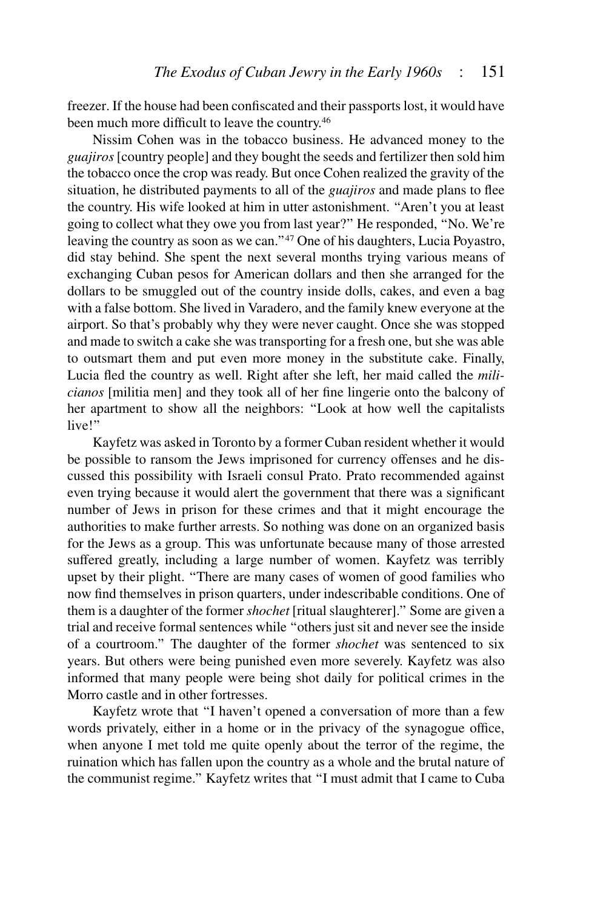freezer. If the house had been confiscated and their passports lost, it would have been much more difficult to leave the country.<sup>46</sup>

Nissim Cohen was in the tobacco business. He advanced money to the *guajiros* [country people] and they bought the seeds and fertilizer then sold him the tobacco once the crop was ready. But once Cohen realized the gravity of the situation, he distributed payments to all of the *guajiros* and made plans to flee the country. His wife looked at him in utter astonishment. ''Aren't you at least going to collect what they owe you from last year?'' He responded, ''No. We're leaving the country as soon as we can."<sup>47</sup> One of his daughters, Lucia Poyastro, did stay behind. She spent the next several months trying various means of exchanging Cuban pesos for American dollars and then she arranged for the dollars to be smuggled out of the country inside dolls, cakes, and even a bag with a false bottom. She lived in Varadero, and the family knew everyone at the airport. So that's probably why they were never caught. Once she was stopped and made to switch a cake she was transporting for a fresh one, but she was able to outsmart them and put even more money in the substitute cake. Finally, Lucia fled the country as well. Right after she left, her maid called the *milicianos* [militia men] and they took all of her fine lingerie onto the balcony of her apartment to show all the neighbors: ''Look at how well the capitalists live!"

Kayfetz was asked in Toronto by a former Cuban resident whether it would be possible to ransom the Jews imprisoned for currency offenses and he discussed this possibility with Israeli consul Prato. Prato recommended against even trying because it would alert the government that there was a significant number of Jews in prison for these crimes and that it might encourage the authorities to make further arrests. So nothing was done on an organized basis for the Jews as a group. This was unfortunate because many of those arrested suffered greatly, including a large number of women. Kayfetz was terribly upset by their plight. ''There are many cases of women of good families who now find themselves in prison quarters, under indescribable conditions. One of them is a daughter of the former *shochet* [ritual slaughterer].'' Some are given a trial and receive formal sentences while ''others just sit and never see the inside of a courtroom.'' The daughter of the former *shochet* was sentenced to six years. But others were being punished even more severely. Kayfetz was also informed that many people were being shot daily for political crimes in the Morro castle and in other fortresses.

Kayfetz wrote that ''I haven't opened a conversation of more than a few words privately, either in a home or in the privacy of the synagogue office, when anyone I met told me quite openly about the terror of the regime, the ruination which has fallen upon the country as a whole and the brutal nature of the communist regime.'' Kayfetz writes that ''I must admit that I came to Cuba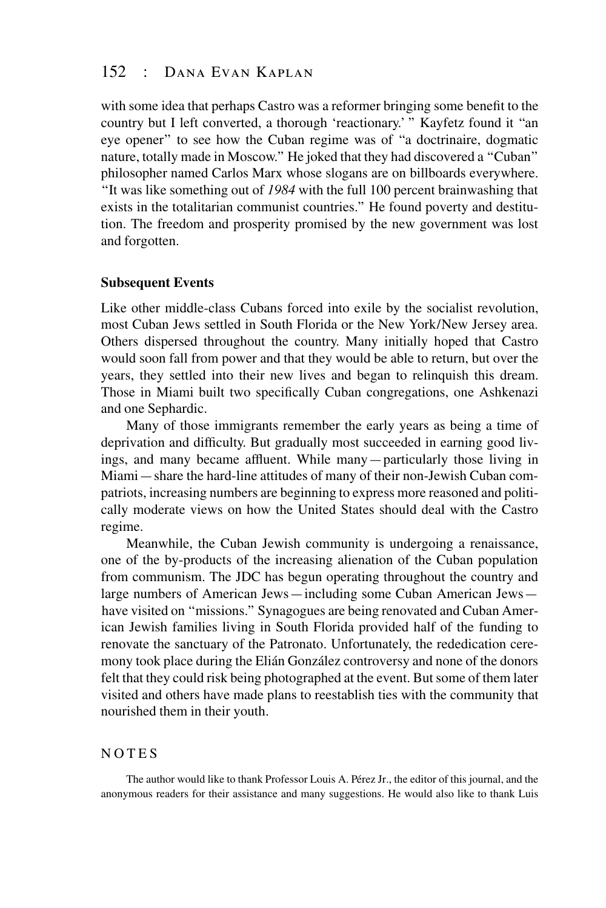with some idea that perhaps Castro was a reformer bringing some benefit to the country but I left converted, a thorough 'reactionary.' " Kayfetz found it "an eye opener'' to see how the Cuban regime was of ''a doctrinaire, dogmatic nature, totally made in Moscow.'' He joked that they had discovered a ''Cuban'' philosopher named Carlos Marx whose slogans are on billboards everywhere. ''It was like something out of *1984* with the full 100 percent brainwashing that exists in the totalitarian communist countries.'' He found poverty and destitution. The freedom and prosperity promised by the new government was lost and forgotten.

#### **Subsequent Events**

Like other middle-class Cubans forced into exile by the socialist revolution, most Cuban Jews settled in South Florida or the New York/New Jersey area. Others dispersed throughout the country. Many initially hoped that Castro would soon fall from power and that they would be able to return, but over the years, they settled into their new lives and began to relinquish this dream. Those in Miami built two specifically Cuban congregations, one Ashkenazi and one Sephardic.

Many of those immigrants remember the early years as being a time of deprivation and difficulty. But gradually most succeeded in earning good livings, and many became affluent. While many—particularly those living in Miami—share the hard-line attitudes of many of their non-Jewish Cuban compatriots, increasing numbers are beginning to express more reasoned and politically moderate views on how the United States should deal with the Castro regime.

Meanwhile, the Cuban Jewish community is undergoing a renaissance, one of the by-products of the increasing alienation of the Cuban population from communism. The JDC has begun operating throughout the country and large numbers of American Jews—including some Cuban American Jews have visited on ''missions.'' Synagogues are being renovated and Cuban American Jewish families living in South Florida provided half of the funding to renovate the sanctuary of the Patronato. Unfortunately, the rededication ceremony took place during the Elián González controversy and none of the donors felt that they could risk being photographed at the event. But some of them later visited and others have made plans to reestablish ties with the community that nourished them in their youth.

#### NOTES

The author would like to thank Professor Louis A. Pérez Jr., the editor of this journal, and the anonymous readers for their assistance and many suggestions. He would also like to thank Luis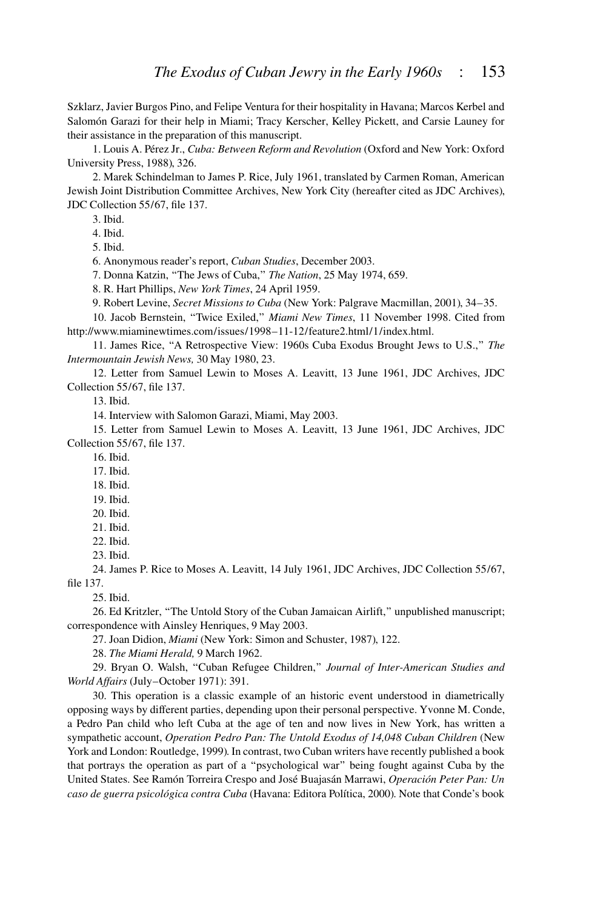Szklarz, Javier Burgos Pino, and Felipe Ventura for their hospitality in Havana; Marcos Kerbel and Salomón Garazi for their help in Miami; Tracy Kerscher, Kelley Pickett, and Carsie Launey for their assistance in the preparation of this manuscript.

1. Louis A. Pérez Jr., *Cuba: Between Reform and Revolution* (Oxford and New York: Oxford University Press, 1988), 326.

2. Marek Schindelman to James P. Rice, July 1961, translated by Carmen Roman, American Jewish Joint Distribution Committee Archives, New York City (hereafter cited as JDC Archives), JDC Collection 55/67, file 137.

3. Ibid.

4. Ibid.

5. Ibid.

6. Anonymous reader's report, *Cuban Studies*, December 2003.

7. Donna Katzin, ''The Jews of Cuba,'' *The Nation*, 25 May 1974, 659.

8. R. Hart Phillips, *New York Times*, 24 April 1959.

9. Robert Levine, *Secret Missions to Cuba* (New York: Palgrave Macmillan, 2001), 34–35.

10. Jacob Bernstein, ''Twice Exiled,'' *Miami New Times*, 11 November 1998. Cited from http://www.miaminewtimes.com/issues/1998–11-12/feature2.html/1/index.html.

11. James Rice, ''A Retrospective View: 1960s Cuba Exodus Brought Jews to U.S.,'' *The Intermountain Jewish News,* 30 May 1980, 23.

12. Letter from Samuel Lewin to Moses A. Leavitt, 13 June 1961, JDC Archives, JDC Collection 55/67, file 137.

13. Ibid.

14. Interview with Salomon Garazi, Miami, May 2003.

15. Letter from Samuel Lewin to Moses A. Leavitt, 13 June 1961, JDC Archives, JDC Collection 55/67, file 137.

16. Ibid.

17. Ibid.

18. Ibid.

19. Ibid.

20. Ibid.

21. Ibid.

22. Ibid.

23. Ibid.

24. James P. Rice to Moses A. Leavitt, 14 July 1961, JDC Archives, JDC Collection 55/67, file 137.

25. Ibid.

26. Ed Kritzler, ''The Untold Story of the Cuban Jamaican Airlift,'' unpublished manuscript; correspondence with Ainsley Henriques, 9 May 2003.

27. Joan Didion, *Miami* (New York: Simon and Schuster, 1987), 122.

28. *The Miami Herald,* 9 March 1962.

29. Bryan O. Walsh, ''Cuban Refugee Children,'' *Journal of Inter-American Studies and World Affairs* (July–October 1971): 391.

30. This operation is a classic example of an historic event understood in diametrically opposing ways by different parties, depending upon their personal perspective. Yvonne M. Conde, a Pedro Pan child who left Cuba at the age of ten and now lives in New York, has written a sympathetic account, *Operation Pedro Pan: The Untold Exodus of 14,048 Cuban Children* (New York and London: Routledge, 1999). In contrast, two Cuban writers have recently published a book that portrays the operation as part of a ''psychological war'' being fought against Cuba by the United States. See Ramón Torreira Crespo and José Buajasán Marrawi, *Operación Peter Pan: Un caso de guerra psicológica contra Cuba* (Havana: Editora Política, 2000). Note that Conde's book